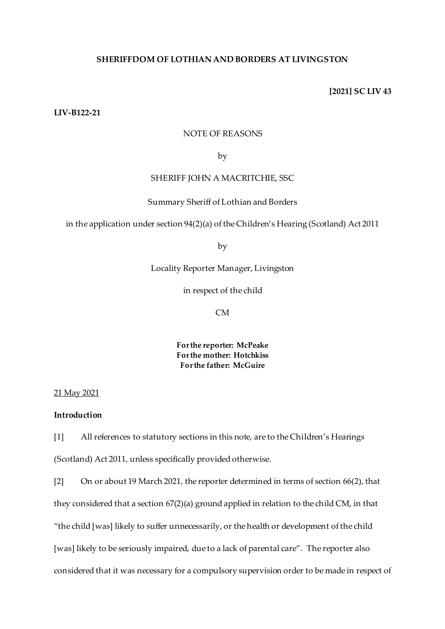## **SHERIFFDOM OF LOTHIAN AND BORDERS AT LIVINGSTON**

### **[2021] SC LIV 43**

# **LIV-B122-21**

### NOTE OF REASONS

by

# SHERIFF JOHN A MACRITCHIE, SSC

### Summary Sheriff of Lothian and Borders

in the application under section 94(2)(a) of the Children's Hearing (Scotland) Act 2011

by

Locality Reporter Manager, Livingston

in respect of the child

CM

**For the reporter: McPeake For the mother: Hotchkiss For the father: McGuire**

#### 21 May 2021

# **Introduction**

[1] All references to statutory sections in this note, are to the Children's Hearings (Scotland) Act 2011, unless specifically provided otherwise.

[2] On or about 19 March 2021, the reporter determined in terms of section 66(2), that they considered that a section 67(2)(a) ground applied in relation to the child CM, in that "the child [was] likely to suffer unnecessarily, or the health or development of the child [was] likely to be seriously impaired, due to a lack of parental care". The reporter also considered that it was necessary for a compulsory supervision order to be made in respect of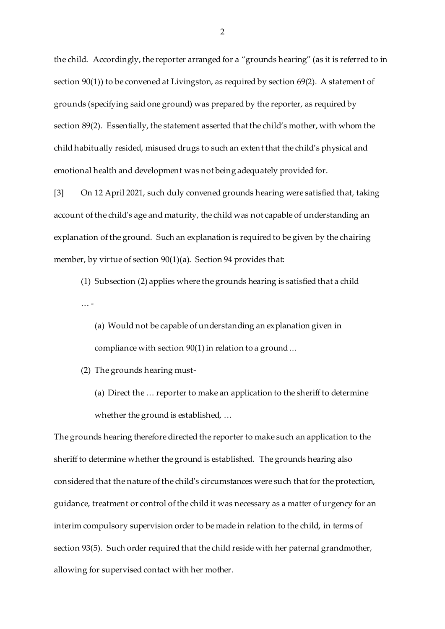the child. Accordingly, the reporter arranged for a "grounds hearing" (as it is referred to in section 90(1)) to be convened at Livingston, as required by section 69(2). A statement of grounds (specifying said one ground) was prepared by the reporter, as required by section 89(2). Essentially, the statement asserted that the child's mother, with whom the child habitually resided, misused drugs to such an extent that the child's physical and emotional health and development was not being adequately provided for.

[3] On 12 April 2021, such duly convened grounds hearing were satisfied that, taking account of the child's age and maturity, the child was not capable of understanding an explanation of the ground. Such an explanation is required to be given by the chairing member, by virtue of section 90(1)(a). Section 94 provides that:

(1) Subsection (2) applies where the grounds hearing is satisfied that a child … -

(a) Would not be capable of understanding an explanation given in compliance with section 90(1) in relation to a ground ...

(2) The grounds hearing must-

(a) Direct the … reporter to make an application to the sheriff to determine whether the ground is established, …

The grounds hearing therefore directed the reporter to make such an application to the sheriff to determine whether the ground is established. The grounds hearing also considered that the nature of the child's circumstances were such that for the protection, guidance, treatment or control of the child it was necessary as a matter of urgency for an interim compulsory supervision order to be made in relation to the child, in terms of section 93(5). Such order required that the child reside with her paternal grandmother, allowing for supervised contact with her mother.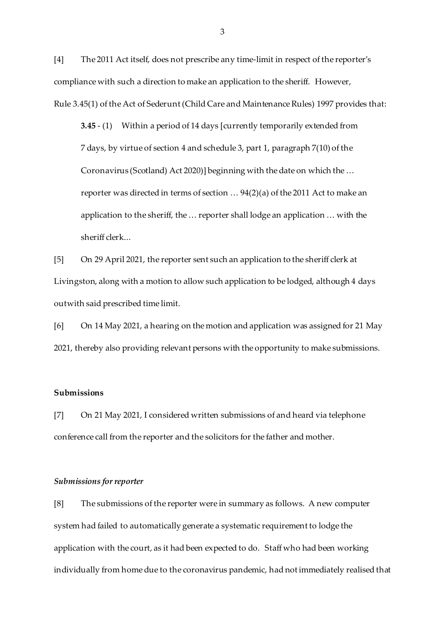[4] The 2011 Act itself, does not prescribe any time-limit in respect of the reporter's compliance with such a direction to make an application to the sheriff. However, Rule 3.45(1) of the Act of Sederunt (Child Care and Maintenance Rules) 1997 provides that:

**3.45** - (1) Within a period of 14 days [currently temporarily extended from 7 days, by virtue of section 4 and schedule 3, part 1, paragraph 7(10) of the Coronavirus (Scotland) Act 2020)] beginning with the date on which the … reporter was directed in terms of section … 94(2)(a) of the 2011 Act to make an application to the sheriff, the … reporter shall lodge an application … with the sheriff clerk...

[5] On 29 April 2021, the reporter sent such an application to the sheriff clerk at Livingston, along with a motion to allow such application to be lodged, although 4 days outwith said prescribed time limit.

[6] On 14 May 2021, a hearing on the motion and application was assigned for 21 May 2021, thereby also providing relevant persons with the opportunity to make submissions.

## **Submissions**

[7] On 21 May 2021, I considered written submissions of and heard via telephone conference call from the reporter and the solicitors for the father and mother.

## *Submissions for reporter*

[8] The submissions of the reporter were in summary as follows. A new computer system had failed to automatically generate a systematic requirement to lodge the application with the court, as it had been expected to do. Staff who had been working individually from home due to the coronavirus pandemic, had not immediately realised that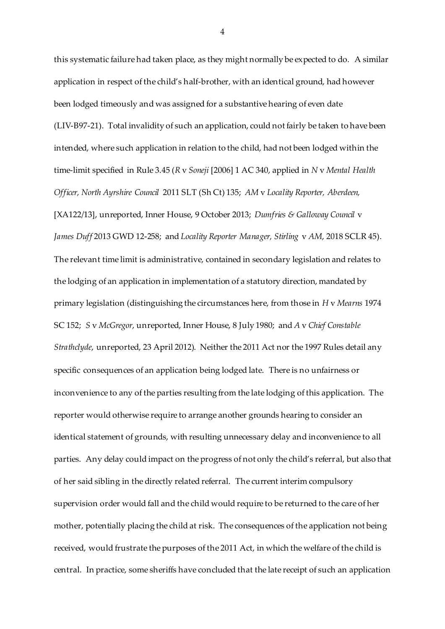this systematic failure had taken place, as they might normally be expected to do. A similar application in respect of the child's half-brother, with an identical ground, had however been lodged timeously and was assigned for a substantive hearing of even date (LIV-B97-21). Total invalidity of such an application, could not fairly be taken to have been intended, where such application in relation to the child, had not been lodged within the time-limit specified in Rule 3.45 (*R* v *Soneji* [2006] 1 AC 340, applied in *N* v *Mental Health Officer, North Ayrshire Council* 2011 SLT (Sh Ct) 135; *AM* v *Locality Reporter, Aberdeen,*  [XA122/13], unreported, Inner House, 9 October 2013; *Dumfries & Galloway Council* v *James Duff* 2013 GWD 12-258; and *Locality Reporter Manager, Stirling* v *AM*, 2018 SCLR 45). The relevant time limit is administrative, contained in secondary legislation and relates to the lodging of an application in implementation of a statutory direction, mandated by primary legislation (distinguishing the circumstances here, from those in *H* v *Mearns* 1974 SC 152; *S* v *McGregor*, unreported, Inner House, 8 July 1980; and *A* v *Chief Constable Strathclyde*, unreported, 23 April 2012). Neither the 2011 Act nor the 1997 Rules detail any specific consequences of an application being lodged late. There is no unfairness or inconvenience to any of the parties resulting from the late lodging of this application. The reporter would otherwise require to arrange another grounds hearing to consider an identical statement of grounds, with resulting unnecessary delay and inconvenience to all parties. Any delay could impact on the progress of not only the child's referral, but also that of her said sibling in the directly related referral. The current interim compulsory supervision order would fall and the child would require to be returned to the care of her mother, potentially placing the child at risk. The consequences of the application not being received, would frustrate the purposes of the 2011 Act, in which the welfare of the child is central. In practice, some sheriffs have concluded that the late receipt of such an application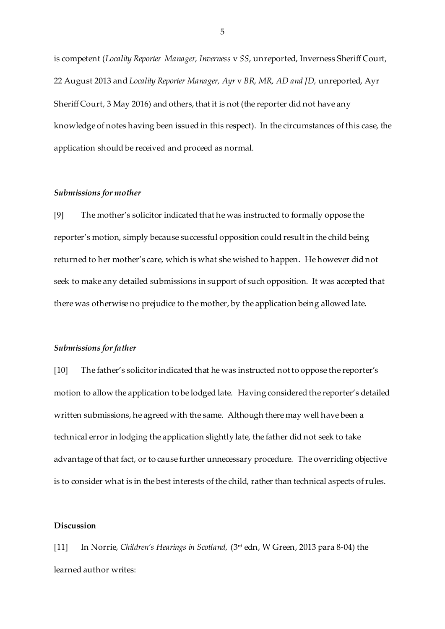is competent (*Locality Reporter Manager, Inverness* v *SS*, unreported, Inverness Sheriff Court, 22 August 2013 and *Locality Reporter Manager, Ayr* v *BR, MR, AD and JD,* unreported, Ayr Sheriff Court, 3 May 2016) and others, that it is not (the reporter did not have any knowledge of notes having been issued in this respect). In the circumstances of this case, the application should be received and proceed as normal.

### *Submissions for mother*

[9] The mother's solicitor indicated that he was instructed to formally oppose the reporter's motion, simply because successful opposition could result in the child being returned to her mother's care, which is what she wished to happen. He however did not seek to make any detailed submissions in support of such opposition. It was accepted that there was otherwise no prejudice to the mother, by the application being allowed late.

#### *Submissions for father*

[10] The father's solicitor indicated that he was instructed not to oppose the reporter's motion to allow the application to be lodged late. Having considered the reporter's detailed written submissions, he agreed with the same. Although there may well have been a technical error in lodging the application slightly late, the father did not seek to take advantage of that fact, or to cause further unnecessary procedure. The overriding objective is to consider what is in the best interests of the child, rather than technical aspects of rules.

## **Discussion**

[11] In Norrie, *Children's Hearings in Scotland,* (3rd edn, W Green, 2013 para 8-04) the learned author writes: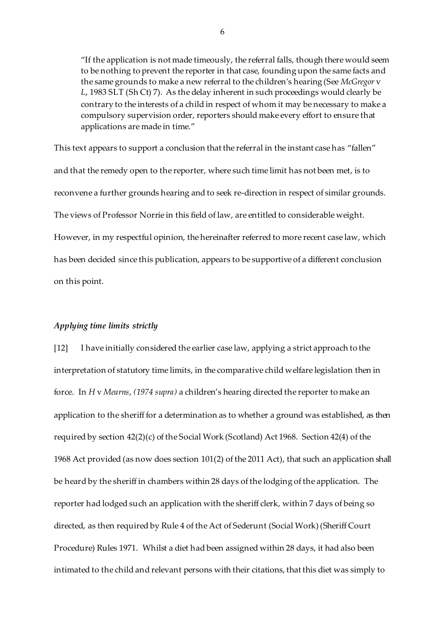"If the application is not made timeously, the referral falls, though there would seem to be nothing to prevent the reporter in that case, founding upon the same facts and the same grounds to make a new referral to the children's hearing (See *McGregor* v *L*, 1983 SLT (Sh Ct) 7). As the delay inherent in such proceedings would clearly be contrary to the interests of a child in respect of whom it may be necessary to make a compulsory supervision order, reporters should make every effort to ensure that applications are made in time."

This text appears to support a conclusion that the referral in the instant case has "fallen" and that the remedy open to the reporter, where such time limit has not been met, is to reconvene a further grounds hearing and to seek re-direction in respect of similar grounds. The views of Professor Norrie in this field of law, are entitled to considerable weight. However, in my respectful opinion, the hereinafter referred to more recent case law, which has been decided since this publication, appears to be supportive of a different conclusion on this point.

#### *Applying time limits strictly*

[12] I have initially considered the earlier case law, applying a strict approach to the interpretation of statutory time limits, in the comparative child welfare legislation then in force. In *H* v *Mearns*, *(1974 supra)* a children's hearing directed the reporter to make an application to the sheriff for a determination as to whether a ground was established, as then required by section 42(2)(c) of the Social Work (Scotland) Act 1968. Section 42(4) of the 1968 Act provided (as now does section 101(2) of the 2011 Act), that such an application shall be heard by the sheriff in chambers within 28 days of the lodging of the application. The reporter had lodged such an application with the sheriff clerk, within 7 days of being so directed, as then required by Rule 4 of the Act of Sederunt (Social Work) (Sheriff Court Procedure) Rules 1971. Whilst a diet had been assigned within 28 days, it had also been intimated to the child and relevant persons with their citations, that this diet was simply to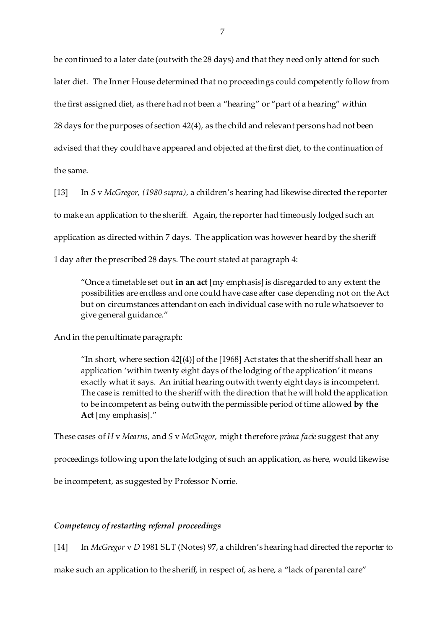be continued to a later date (outwith the 28 days) and that they need only attend for such later diet. The Inner House determined that no proceedings could competently follow from the first assigned diet, as there had not been a "hearing" or "part of a hearing" within 28 days for the purposes of section 42(4), as the child and relevant persons had not been advised that they could have appeared and objected at the first diet, to the continuation of the same.

[13] In *S* v *McGregor*, *(1980 supra)*, a children's hearing had likewise directed the reporter to make an application to the sheriff. Again, the reporter had timeously lodged such an application as directed within 7 days. The application was however heard by the sheriff 1 day after the prescribed 28 days. The court stated at paragraph 4:

"Once a timetable set out **in an act** [my emphasis] is disregarded to any extent the possibilities are endless and one could have case after case depending not on the Act but on circumstances attendant on each individual case with no rule whatsoever to give general guidance."

And in the penultimate paragraph:

"In short, where section  $42[(4)]$  of the [1968] Act states that the sheriff shall hear an application 'within twenty eight days of the lodging of the application' it means exactly what it says. An initial hearing outwith twenty eight days is incompetent. The case is remitted to the sheriff with the direction that he will hold the application to be incompetent as being outwith the permissible period of time allowed **by the Act** [my emphasis]."

These cases of *H* v *Mearns,* and *S* v *McGregor,* might therefore *prima facie* suggest that any

proceedings following upon the late lodging of such an application, as here, would likewise

be incompetent, as suggested by Professor Norrie.

## *Competency of restarting referral proceedings*

[14] In *McGregor* v *D* 1981 SLT (Notes) 97, a children's hearing had directed the reporter to

make such an application to the sheriff, in respect of, as here, a "lack of parental care"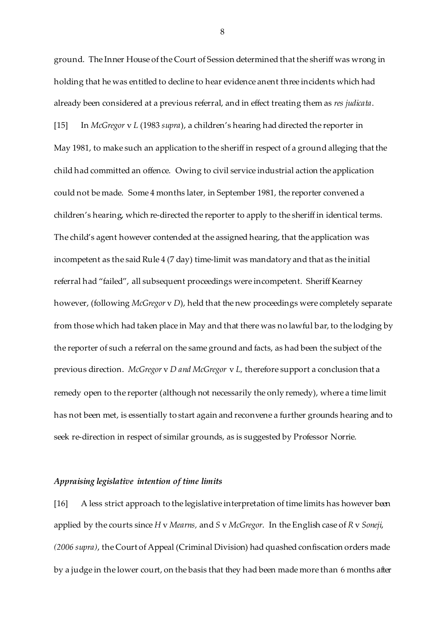ground. The Inner House of the Court of Session determined that the sheriff was wrong in holding that he was entitled to decline to hear evidence anent three incidents which had already been considered at a previous referral, and in effect treating them as *res judicata*. [15] In *McGregor* v *L* (1983 *supra*), a children's hearing had directed the reporter in May 1981, to make such an application to the sheriff in respect of a ground alleging that the child had committed an offence. Owing to civil service industrial action the application could not be made. Some 4 months later, in September 1981, the reporter convened a children's hearing, which re-directed the reporter to apply to the sheriff in identical terms. The child's agent however contended at the assigned hearing, that the application was incompetent as the said Rule 4 (7 day) time-limit was mandatory and that as the initial referral had "failed", all subsequent proceedings were incompetent. Sheriff Kearney however, (following *McGregor* v *D*), held that the new proceedings were completely separate from those which had taken place in May and that there was no lawful bar, to the lodging by the reporter of such a referral on the same ground and facts, as had been the subject of the previous direction. *McGregor* v *D and McGregor* v *L,* therefore support a conclusion that a remedy open to the reporter (although not necessarily the only remedy), where a time limit has not been met, is essentially to start again and reconvene a further grounds hearing and to seek re-direction in respect of similar grounds, as is suggested by Professor Norrie.

#### *Appraising legislative intention of time limits*

[16] A less strict approach to the legislative interpretation of time limits has however been applied by the courts since *H* v *Mearns,* and *S* v *McGregor*. In the English case of *R* v *Soneji*, *(2006 supra)*, the Court of Appeal (Criminal Division) had quashed confiscation orders made by a judge in the lower court, on the basis that they had been made more than 6 months after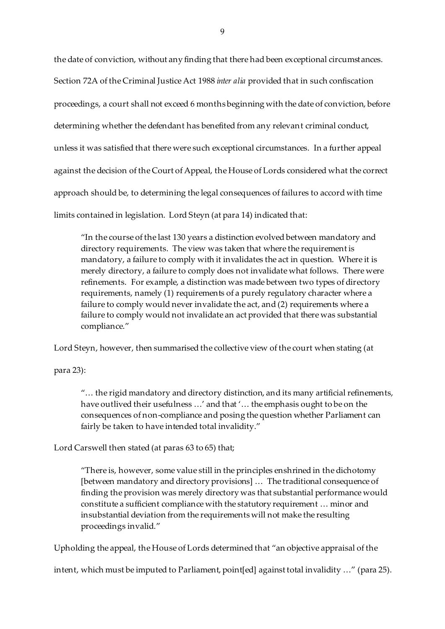the date of conviction, without any finding that there had been exceptional circumstances. Section 72A of the Criminal Justice Act 1988 *inter alia* provided that in such confiscation proceedings, a court shall not exceed 6 months beginning with the date of conviction, before determining whether the defendant has benefited from any relevant criminal conduct, unless it was satisfied that there were such exceptional circumstances. In a further appeal against the decision of the Court of Appeal, the House of Lords considered what the correct approach should be, to determining the legal consequences of failures to accord with time limits contained in legislation. Lord Steyn (at para 14) indicated that:

"In the course of the last 130 years a distinction evolved between mandatory and directory requirements. The view was taken that where the requirement is mandatory, a failure to comply with it invalidates the act in question. Where it is merely directory, a failure to comply does not invalidate what follows. There were refinements. For example, a distinction was made between two types of directory requirements, namely (1) requirements of a purely regulatory character where a failure to comply would never invalidate the act, and (2) requirements where a failure to comply would not invalidate an act provided that there was substantial compliance."

Lord Steyn, however, then summarised the collective view of the court when stating (at

para 23):

"… the rigid mandatory and directory distinction, and its many artificial refinements, have outlived their usefulness …' and that '… the emphasis ought to be on the consequences of non-compliance and posing the question whether Parliament can fairly be taken to have intended total invalidity."

Lord Carswell then stated (at paras 63 to 65) that;

"There is, however, some value still in the principles enshrined in the dichotomy [between mandatory and directory provisions] … The traditional consequence of finding the provision was merely directory was that substantial performance would constitute a sufficient compliance with the statutory requirement … minor and insubstantial deviation from the requirements will not make the resulting proceedings invalid."

Upholding the appeal, the House of Lords determined that "an objective appraisal of the

intent, which must be imputed to Parliament, point[ed] against total invalidity …" (para 25).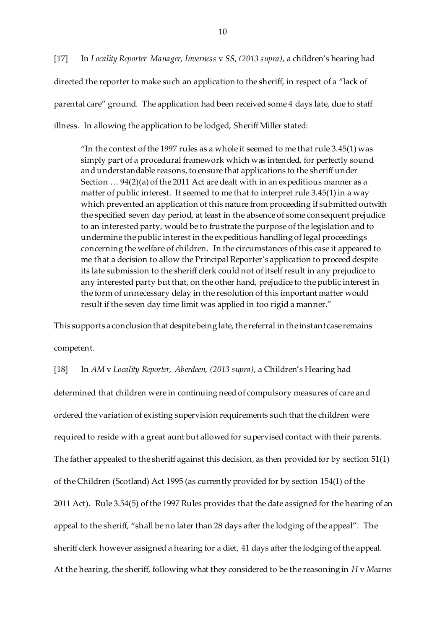[17] In *Locality Reporter Manager, Inverness* v *SS*, *(2013 supra)*, a children's hearing had directed the reporter to make such an application to the sheriff, in respect of a "lack of parental care" ground. The application had been received some 4 days late, due to staff illness. In allowing the application to be lodged, Sheriff Miller stated:

"In the context of the 1997 rules as a whole it seemed to me that rule  $3.45(1)$  was simply part of a procedural framework which was intended, for perfectly sound and understandable reasons, to ensure that applications to the sheriff under Section … 94(2)(a) of the 2011 Act are dealt with in an expeditious manner as a matter of public interest. It seemed to me that to interpret rule 3.45(1) in a way which prevented an application of this nature from proceeding if submitted outwith the specified seven day period, at least in the absence of some consequent prejudice to an interested party, would be to frustrate the purpose of the legislation and to undermine the public interest in the expeditious handling of legal proceedings concerning the welfare of children. In the circumstances of this case it appeared to me that a decision to allow the Principal Reporter's application to proceed despite its late submission to the sheriff clerk could not of itself result in any prejudice to any interested party but that, on the other hand, prejudice to the public interest in the form of unnecessary delay in the resolution of this important matter would result if the seven day time limit was applied in too rigid a manner."

This supports a conclusion that despite being late, the referral in the instant case remains competent.

[18] In *AM* v *Locality Reporter, Aberdeen, (2013 supra)*, a Children's Hearing had determined that children were in continuing need of compulsory measures of care and ordered the variation of existing supervision requirements such that the children were required to reside with a great aunt but allowed for supervised contact with their parents. The father appealed to the sheriff against this decision, as then provided for by section 51(1) of the Children (Scotland) Act 1995 (as currently provided for by section 154(1) of the 2011 Act). Rule 3.54(5) of the 1997 Rules provides that the date assigned for the hearing of an appeal to the sheriff, "shall be no later than 28 days after the lodging of the appeal". The sheriff clerk however assigned a hearing for a diet, 41 days after the lodging of the appeal. At the hearing, the sheriff, following what they considered to be the reasoning in *H* v *Mearns*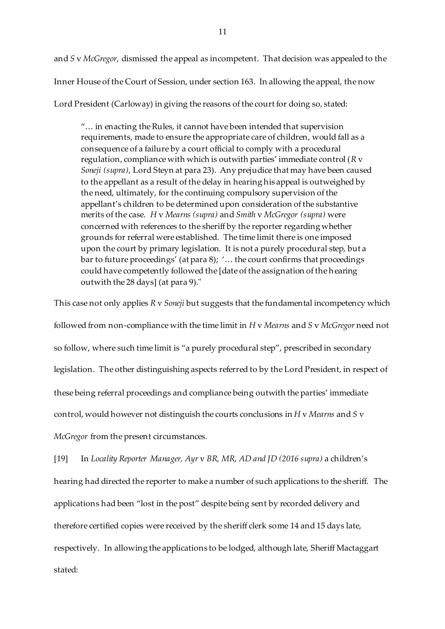and *S* v *McGregor*, dismissed the appeal as incompetent. That decision was appealed to the Inner House of the Court of Session, under section 163. In allowing the appeal, the now Lord President (Carloway) in giving the reasons of the court for doing so, stated:

"… in enacting the Rules, it cannot have been intended that supervision requirements, made to ensure the appropriate care of children, would fall as a consequence of a failure by a court official to comply with a procedural regulation, compliance with which is outwith parties' immediate control (*R* v *Soneji (supra)*, Lord Steyn at para 23). Any prejudice that may have been caused to the appellant as a result of the delay in hearing his appeal is outweighed by the need, ultimately, for the continuing compulsory supervision of the appellant's children to be determined upon consideration of the substantive merits of the case. *H* v *Mearns (supra)* and *Smith* v *McGregor (supra)* were concerned with references to the sheriff by the reporter regarding whether grounds for referral were established. The time limit there is one imposed upon the court by primary legislation. It is not a purely procedural step, but a bar to future proceedings' (at para 8); '… the court confirms that proceedings could have competently followed the [date of the assignation of the hearing outwith the 28 days] (at para 9)."

This case not only applies *R* v *Soneji* but suggests that the fundamental incompetency which followed from non-compliance with the time limit in *H* v *Mearns* and *S* v *McGregor* need not so follow, where such time limit is "a purely procedural step", prescribed in secondary legislation. The other distinguishing aspects referred to by the Lord President*,* in respect of these being referral proceedings and compliance being outwith the parties' immediate control, would however not distinguish the courts conclusions in *H* v *Mearns* and *S* v *McGregor* from the present circumstances.

[19] In *Locality Reporter Manager, Ayr* v *BR, MR, AD and JD (2016 supra)* a children's hearing had directed the reporter to make a number of such applications to the sheriff. The applications had been "lost in the post" despite being sent by recorded delivery and therefore certified copies were received by the sheriff clerk some 14 and 15 days late, respectively. In allowing the applications to be lodged, although late, Sheriff Mactaggart stated: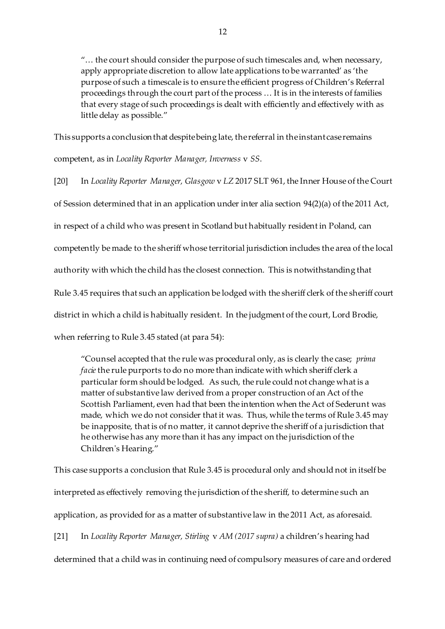"… the court should consider the purpose of such timescales and, when necessary, apply appropriate discretion to allow late applications to be warranted' as 'the purpose of such a timescale is to ensure the efficient progress of Children's Referral proceedings through the court part of the process … It is in the interests of families that every stage of such proceedings is dealt with efficiently and effectively with as little delay as possible."

This supports a conclusion that despite being late, the referral in the instant case remains competent, as in *Locality Reporter Manager, Inverness* v *SS*.

[20] In *Locality Reporter Manager, Glasgow* v *LZ* 2017 SLT 961, the Inner House of the Court of Session determined that in an application under inter alia section 94(2)(a) of the 2011 Act, in respect of a child who was present in Scotland but habitually resident in Poland, can competently be made to the sheriff whose territorial jurisdiction includes the area of the local authority with which the child has the closest connection. This is notwithstanding that Rule 3.45 requires that such an application be lodged with the sheriff clerk of the sheriff court district in which a child is habitually resident. In the judgment of the court, Lord Brodie, when referring to Rule 3.45 stated (at para 54):

"Counsel accepted that the rule was procedural only, as is clearly the case; *prima facie*the rule purports to do no more than indicate with which sheriff clerk a particular form should be lodged. As such, the rule could not change what is a matter of substantive law derived from a proper construction of an Act of the Scottish Parliament, even had that been the intention when the Act of Sederunt was made, which we do not consider that it was. Thus, while the terms of Rule 3.45 may be inapposite, that is of no matter, it cannot deprive the sheriff of a jurisdiction that he otherwise has any more than it has any impact on the jurisdiction of the Children's Hearing."

This case supports a conclusion that Rule 3.45 is procedural only and should not in itself be interpreted as effectively removing the jurisdiction of the sheriff, to determine such an application, as provided for as a matter of substantive law in the 2011 Act, as aforesaid.

[21] In *Locality Reporter Manager, Stirling* v *AM (2017 supra)* a children's hearing had determined that a child was in continuing need of compulsory measures of care and ordered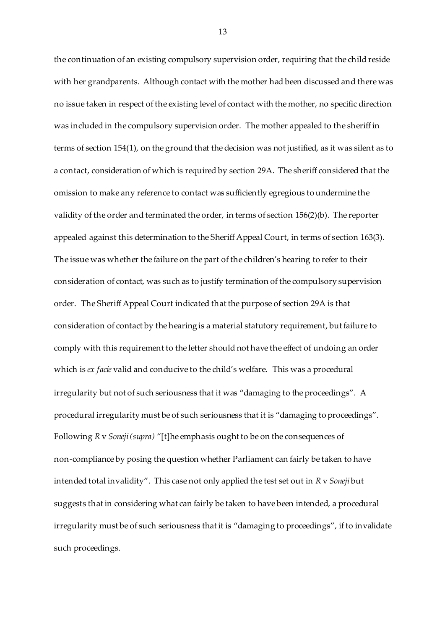the continuation of an existing compulsory supervision order, requiring that the child reside with her grandparents. Although contact with the mother had been discussed and there was no issue taken in respect of the existing level of contact with the mother, no specific direction was included in the compulsory supervision order. The mother appealed to the sheriff in terms of section 154(1), on the ground that the decision was not justified, as it was silent as to a contact, consideration of which is required by section 29A. The sheriff considered that the omission to make any reference to contact was sufficiently egregious to undermine the validity of the order and terminated the order, in terms of section 156(2)(b). The reporter appealed against this determination to the Sheriff Appeal Court, in terms of section 163(3). The issue was whether the failure on the part of the children's hearing to refer to their consideration of contact, was such as to justify termination of the compulsory supervision order. The Sheriff Appeal Court indicated that the purpose of section 29A is that consideration of contact by the hearing is a material statutory requirement, but failure to comply with this requirement to the letter should not have the effect of undoing an order which is *ex facie* valid and conducive to the child's welfare. This was a procedural irregularity but not of such seriousness that it was "damaging to the proceedings". A procedural irregularity must be of such seriousness that it is "damaging to proceedings". Following *R* v *Soneji (supra)* "[t]he emphasis ought to be on the consequences of non-compliance by posing the question whether Parliament can fairly be taken to have intended total invalidity". This case not only applied the test set out in *R* v *Soneji* but suggests that in considering what can fairly be taken to have been intended, a procedural irregularity must be of such seriousness that it is "damaging to proceedings", if to invalidate such proceedings.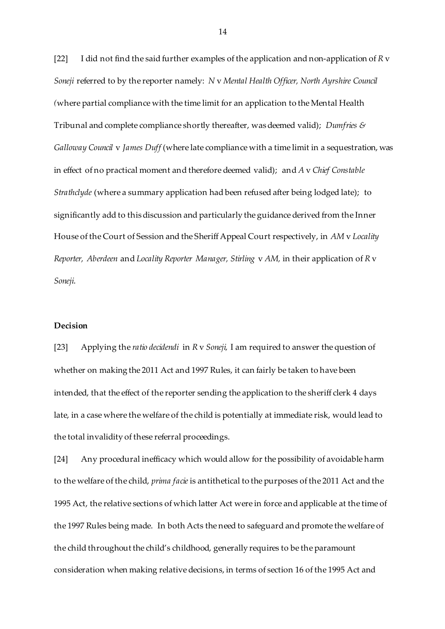[22] I did not find the said further examples of the application and non-application of *R* v *Soneji* referred to by the reporter namely: *N* v *Mental Health Officer, North Ayrshire Council (*where partial compliance with the time limit for an application to the Mental Health Tribunal and complete compliance shortly thereafter, was deemed valid); *Dumfries & Galloway Council* v *James Duff* (where late compliance with a time limit in a sequestration, was in effect of no practical moment and therefore deemed valid); and *A* v *Chief Constable Strathclyde* (where a summary application had been refused after being lodged late); to significantly add to this discussion and particularly the guidance derived from the Inner House of the Court of Session and the Sheriff Appeal Court respectively, in *AM* v *Locality Reporter, Aberdeen* and *Locality Reporter Manager, Stirling* v *AM,* in their application of *R* v *Soneji*.

## **Decision**

[23] Applying the *ratio decidendi* in *R* v *Soneji,* I am required to answer the question of whether on making the 2011 Act and 1997 Rules, it can fairly be taken to have been intended, that the effect of the reporter sending the application to the sheriff clerk 4 days late, in a case where the welfare of the child is potentially at immediate risk, would lead to the total invalidity of these referral proceedings.

[24] Any procedural inefficacy which would allow for the possibility of avoidable harm to the welfare of the child, *prima facie* is antithetical to the purposes of the 2011 Act and the 1995 Act, the relative sections of which latter Act were in force and applicable at the time of the 1997 Rules being made. In both Acts the need to safeguard and promote the welfare of the child throughout the child's childhood, generally requires to be the paramount consideration when making relative decisions, in terms of section 16 of the 1995 Act and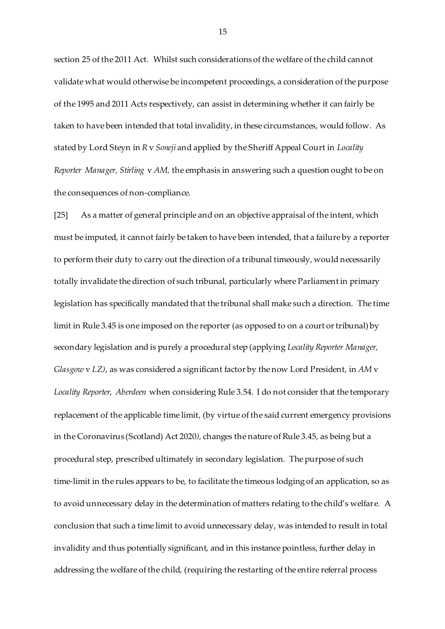section 25 of the 2011 Act. Whilst such considerations of the welfare of the child cannot validate what would otherwise be incompetent proceedings, a consideration of the purpose of the 1995 and 2011 Acts respectively, can assist in determining whether it can fairly be taken to have been intended that total invalidity, in these circumstances, would follow. As stated by Lord Steyn in *R* v *Soneji* and applied by the Sheriff Appeal Court in *Locality Reporter Manager, Stirling* v *AM,* the emphasis in answering such a question ought to be on the consequences of non-compliance.

[25] As a matter of general principle and on an objective appraisal of the intent, which must be imputed, it cannot fairly be taken to have been intended, that a failure by a reporter to perform their duty to carry out the direction of a tribunal timeously, would necessarily totally invalidate the direction of such tribunal, particularly where Parliament in primary legislation has specifically mandated that the tribunal shall make such a direction. The time limit in Rule 3.45 is one imposed on the reporter (as opposed to on a court or tribunal) by secondary legislation and is purely a procedural step (applying *Locality Reporter Manager, Glasgow* v *LZ)*, as was considered a significant factor by the now Lord President, in *AM* v *Locality Reporter, Aberdeen* when considering Rule 3.54. I do not consider that the temporary replacement of the applicable time limit, (by virtue of the said current emergency provisions in the Coronavirus (Scotland) Act 2020*),* changes the nature of Rule 3.45, as being but a procedural step, prescribed ultimately in secondary legislation. The purpose of such time-limit in the rules appears to be, to facilitate the timeous lodging of an application, so as to avoid unnecessary delay in the determination of matters relating to the child's welfare. A conclusion that such a time limit to avoid unnecessary delay, was intended to result in total invalidity and thus potentially significant, and in this instance pointless, further delay in addressing the welfare of the child, (requiring the restarting of the entire referral process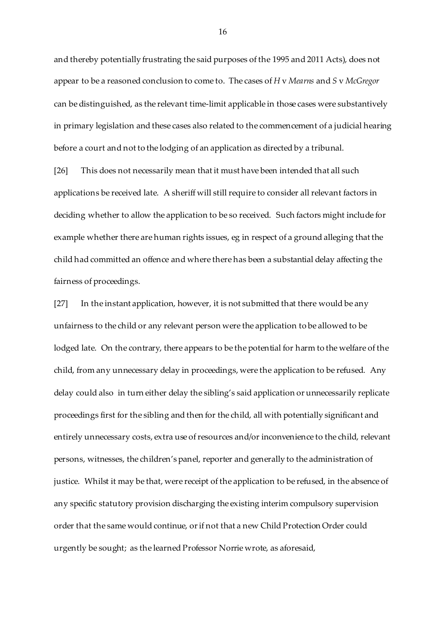and thereby potentially frustrating the said purposes of the 1995 and 2011 Acts), does not appear to be a reasoned conclusion to come to. The cases of *H* v *Mearns* and *S* v *McGregor*  can be distinguished, as the relevant time-limit applicable in those cases were substantively in primary legislation and these cases also related to the commencement of a judicial hearing before a court and not to the lodging of an application as directed by a tribunal.

[26] This does not necessarily mean that it must have been intended that all such applications be received late. A sheriff will still require to consider all relevant factors in deciding whether to allow the application to be so received. Such factors might include for example whether there are human rights issues, eg in respect of a ground alleging that the child had committed an offence and where there has been a substantial delay affecting the fairness of proceedings.

[27] In the instant application, however, it is not submitted that there would be any unfairness to the child or any relevant person were the application to be allowed to be lodged late. On the contrary, there appears to be the potential for harm to the welfare of the child, from any unnecessary delay in proceedings, were the application to be refused. Any delay could also in turn either delay the sibling's said application or unnecessarily replicate proceedings first for the sibling and then for the child, all with potentially significant and entirely unnecessary costs, extra use of resources and/or inconvenience to the child, relevant persons, witnesses, the children's panel, reporter and generally to the administration of justice. Whilst it may be that, were receipt of the application to be refused, in the absence of any specific statutory provision discharging the existing interim compulsory supervision order that the same would continue, or if not that a new Child Protection Order could urgently be sought; as the learned Professor Norrie wrote, as aforesaid,